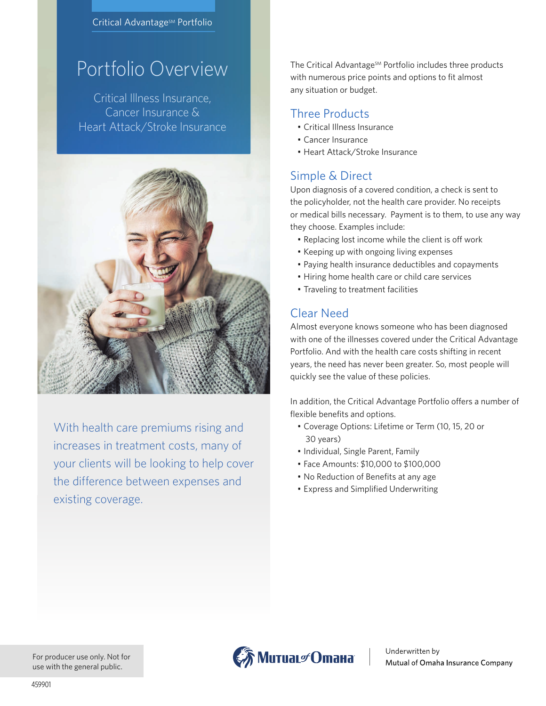#### Critical Advantage<sup>sM</sup> Portfolio

# Portfolio Overview

Critical Illness Insurance, Cancer Insurance & Heart Attack/Stroke Insurance



With health care premiums rising and increases in treatment costs, many of your clients will be looking to help cover the difference between expenses and existing coverage.

The Critical Advantage<sup>SM</sup> Portfolio includes three products with numerous price points and options to fit almost any situation or budget.

#### Three Products

- Critical Illness Insurance
- Cancer Insurance
- Heart Attack/Stroke Insurance

#### Simple & Direct

Upon diagnosis of a covered condition, a check is sent to the policyholder, not the health care provider. No receipts or medical bills necessary. Payment is to them, to use any way they choose. Examples include:

- Replacing lost income while the client is off work
- Keeping up with ongoing living expenses
- Paying health insurance deductibles and copayments
- Hiring home health care or child care services
- Traveling to treatment facilities

#### Clear Need

Almost everyone knows someone who has been diagnosed with one of the illnesses covered under the Critical Advantage Portfolio. And with the health care costs shifting in recent years, the need has never been greater. So, most people will quickly see the value of these policies.

In addition, the Critical Advantage Portfolio offers a number of flexible benefits and options.

- Coverage Options: Lifetime or Term (10, 15, 20 or 30 years)
- Individual, Single Parent, Family
- Face Amounts: \$10,000 to \$100,000
- No Reduction of Benefits at any age
- Express and Simplified Underwriting

For producer use only. Not for use with the general public.